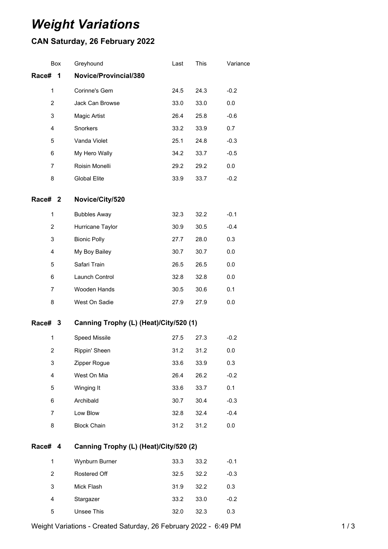# *Weight Variations*

## **CAN Saturday, 26 February 2022**

| Box            | Greyhound                              | Last | This | Variance |  |  |
|----------------|----------------------------------------|------|------|----------|--|--|
| Race#<br>1     | Novice/Provincial/380                  |      |      |          |  |  |
| $\mathbf{1}$   | Corinne's Gem                          | 24.5 | 24.3 | $-0.2$   |  |  |
| $\overline{c}$ | Jack Can Browse                        | 33.0 | 33.0 | 0.0      |  |  |
| 3              | Magic Artist                           | 26.4 | 25.8 | $-0.6$   |  |  |
| 4              | Snorkers                               | 33.2 | 33.9 | 0.7      |  |  |
| 5              | Vanda Violet                           | 25.1 | 24.8 | $-0.3$   |  |  |
| 6              | My Hero Wally                          | 34.2 | 33.7 | $-0.5$   |  |  |
| 7              | Roisin Monelli                         | 29.2 | 29.2 | 0.0      |  |  |
| 8              | <b>Global Elite</b>                    | 33.9 | 33.7 | $-0.2$   |  |  |
| Race# 2        | Novice/City/520                        |      |      |          |  |  |
| 1              | <b>Bubbles Away</b>                    | 32.3 | 32.2 | $-0.1$   |  |  |
| $\overline{c}$ | Hurricane Taylor                       | 30.9 | 30.5 | $-0.4$   |  |  |
| 3              | <b>Bionic Polly</b>                    | 27.7 | 28.0 | 0.3      |  |  |
| 4              | My Boy Bailey                          | 30.7 | 30.7 | 0.0      |  |  |
| 5              | Safari Train                           | 26.5 | 26.5 | 0.0      |  |  |
| 6              | Launch Control                         | 32.8 | 32.8 | 0.0      |  |  |
| 7              | Wooden Hands                           | 30.5 | 30.6 | 0.1      |  |  |
| 8              | West On Sadie                          | 27.9 | 27.9 | 0.0      |  |  |
| Race# 3        | Canning Trophy (L) (Heat)/City/520 (1) |      |      |          |  |  |
| 1              | <b>Speed Missile</b>                   | 27.5 | 27.3 | $-0.2$   |  |  |
| $\overline{2}$ | Rippin' Sheen                          | 31.2 | 31.2 | 0.0      |  |  |
| 3              | Zipper Rogue                           | 33.6 | 33.9 | 0.3      |  |  |
| 4              | West On Mia                            | 26.4 | 26.2 | $-0.2$   |  |  |
| 5              | Winging It                             | 33.6 | 33.7 | 0.1      |  |  |
| 6              | Archibald                              | 30.7 | 30.4 | $-0.3$   |  |  |
| $\overline{7}$ | Low Blow                               | 32.8 | 32.4 | $-0.4$   |  |  |
| 8              | <b>Block Chain</b>                     | 31.2 | 31.2 | 0.0      |  |  |
| Race# 4        | Canning Trophy (L) (Heat)/City/520 (2) |      |      |          |  |  |
| $\mathbf{1}$   | Wynburn Burner                         | 33.3 | 33.2 | $-0.1$   |  |  |
| $\overline{2}$ | Rostered Off                           | 32.5 | 32.2 | $-0.3$   |  |  |
| 3              | Mick Flash                             | 31.9 | 32.2 | 0.3      |  |  |
| 4              | Stargazer                              | 33.2 | 33.0 | $-0.2$   |  |  |
| 5              | Unsee This                             | 32.0 | 32.3 | 0.3      |  |  |

Weight Variations - Created Saturday, 26 February 2022 - 6:49 PM 14 1 1 1 1 1 1 3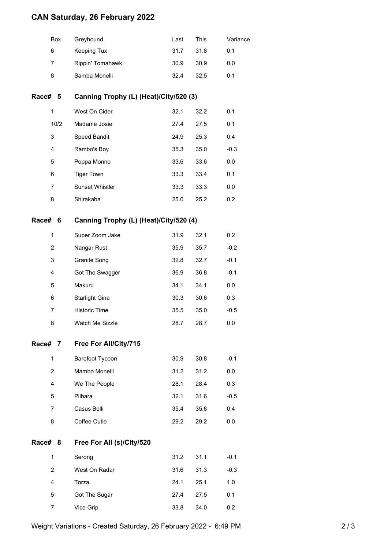### **CAN Saturday, 26 February 2022**

| <b>Box</b> | Greyhound        | Last | This   | Variance |
|------------|------------------|------|--------|----------|
| 6          | Keeping Tux      | 31.7 | - 31.8 | 0.1      |
| 7          | Rippin' Tomahawk | 30.9 | 30.9   | 0.0      |
| 8          | Samba Monelli    | 32.4 | 32.5   | 0.1      |
|            |                  |      |        |          |

#### **Race# 5 Canning Trophy (L) (Heat)/City/520 (3)**

| 1    | West On Cider          | 32.1 | 32.2 | 0.1    |
|------|------------------------|------|------|--------|
| 10/2 | Madame Josie           | 27.4 | 27.5 | 0.1    |
| 3    | Speed Bandit           | 24.9 | 25.3 | 0.4    |
| 4    | Rambo's Boy            | 35.3 | 35.0 | $-0.3$ |
| 5    | Poppa Monno            | 33.6 | 33.6 | 0.0    |
| 6    | <b>Tiger Town</b>      | 33.3 | 33.4 | 0.1    |
| 7    | <b>Sunset Whistler</b> | 33.3 | 33.3 | 0.0    |
| 8    | Shirakaba              | 25.0 | 25.2 | 0.2    |

#### **Race# 6 Canning Trophy (L) (Heat)/City/520 (4)**

| 1 | Super Zoom Jake      | 31.9 | 32.1 | 0.2 <sub>0</sub> |
|---|----------------------|------|------|------------------|
| 2 | Nangar Rust          | 35.9 | 35.7 | $-0.2$           |
| 3 | Granite Song         | 32.8 | 32.7 | $-0.1$           |
| 4 | Got The Swagger      | 36.9 | 36.8 | $-0.1$           |
| 5 | Makuru               | 34.1 | 34.1 | 0.0              |
| 6 | Starlight Gina       | 30.3 | 30.6 | 0.3              |
| 7 | <b>Historic Time</b> | 35.5 | 35.0 | $-0.5$           |
| 8 | Watch Me Sizzle      | 28.7 | 28.7 | 0.0              |

#### **Race# 7 Free For All/City/715**

| 1 | Barefoot Tycoon | 30.9 | 30.8 | $-0.1$ |
|---|-----------------|------|------|--------|
| 2 | Mambo Monelli   | 31.2 | 31.2 | 0.0    |
| 4 | We The People   | 28.1 | 28.4 | 0.3    |
| 5 | Pilbara         | 32.1 | 31.6 | $-0.5$ |
| 7 | Casus Belli     | 35.4 | 35.8 | 0.4    |
| 8 | Coffee Cutie    | 29.2 | 29.2 | 0.0    |

#### **Race# 8 Free For All (s)/City/520**

| 1 | Serong        | 31.2 | 31.1 | $-0.1$ |
|---|---------------|------|------|--------|
| 2 | West On Radar | 31.6 | 31.3 | $-0.3$ |
| 4 | Torza         | 24.1 | 25.1 | 1.0    |
| 5 | Got The Sugar | 27.4 | 27.5 | 0.1    |
|   | Vice Grip     | 33.8 | 34.0 | 0.2    |